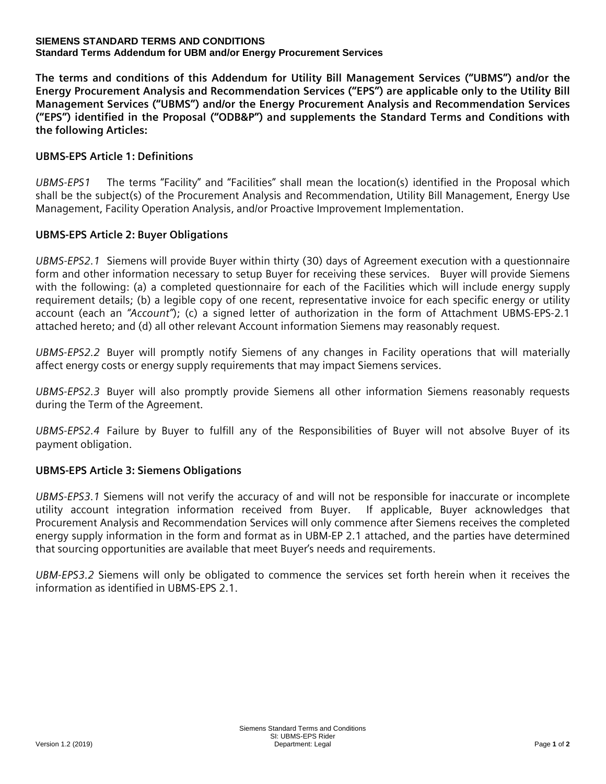#### **SIEMENS STANDARD TERMS AND CONDITIONS Standard Terms Addendum for UBM and/or Energy Procurement Services**

**The terms and conditions of this Addendum for Utility Bill Management Services ("UBMS") and/or the Energy Procurement Analysis and Recommendation Services ("EPS") are applicable only to the Utility Bill Management Services ("UBMS") and/or the Energy Procurement Analysis and Recommendation Services ("EPS") identified in the Proposal ("ODB&P") and supplements the Standard Terms and Conditions with the following Articles:**

# **UBMS-EPS Article 1: Definitions**

*UBMS-EPS1* The terms "Facility" and "Facilities" shall mean the location(s) identified in the Proposal which shall be the subject(s) of the Procurement Analysis and Recommendation, Utility Bill Management, Energy Use Management, Facility Operation Analysis, and/or Proactive Improvement Implementation.

### **UBMS-EPS Article 2: Buyer Obligations**

*UBMS-EPS2.1* Siemens will provide Buyer within thirty (30) days of Agreement execution with a questionnaire form and other information necessary to setup Buyer for receiving these services. Buyer will provide Siemens with the following: (a) a completed questionnaire for each of the Facilities which will include energy supply requirement details; (b) a legible copy of one recent, representative invoice for each specific energy or utility account (each an *"Account"*); (c) a signed letter of authorization in the form of Attachment UBMS-EPS-2.1 attached hereto; and (d) all other relevant Account information Siemens may reasonably request.

*UBMS-EPS2.2* Buyer will promptly notify Siemens of any changes in Facility operations that will materially affect energy costs or energy supply requirements that may impact Siemens services.

*UBMS-EPS2.3* Buyer will also promptly provide Siemens all other information Siemens reasonably requests during the Term of the Agreement.

*UBMS-EPS2.4* Failure by Buyer to fulfill any of the Responsibilities of Buyer will not absolve Buyer of its payment obligation.

# **UBMS-EPS Article 3: Siemens Obligations**

*UBMS-EPS3.1* Siemens will not verify the accuracy of and will not be responsible for inaccurate or incomplete utility account integration information received from Buyer. If applicable, Buyer acknowledges that Procurement Analysis and Recommendation Services will only commence after Siemens receives the completed energy supply information in the form and format as in UBM-EP 2.1 attached, and the parties have determined that sourcing opportunities are available that meet Buyer's needs and requirements.

*UBM-EPS3.2* Siemens will only be obligated to commence the services set forth herein when it receives the information as identified in UBMS-EPS 2.1.